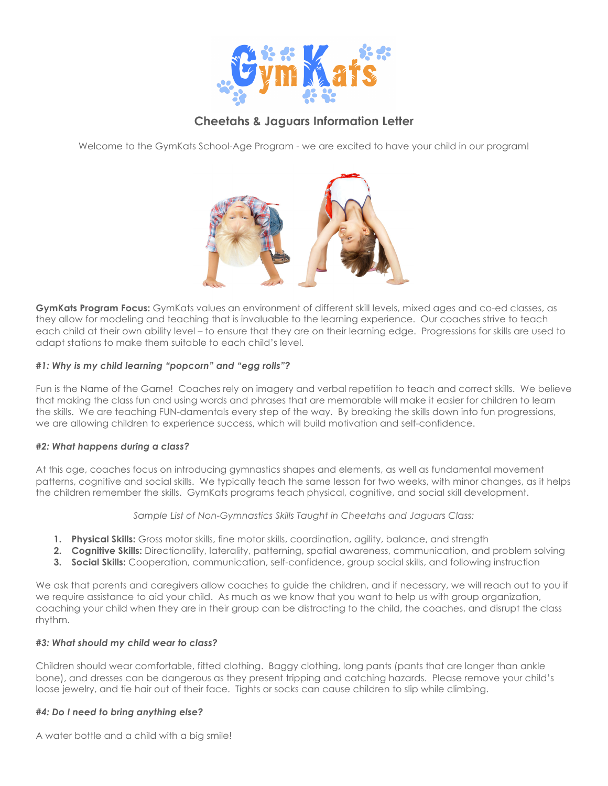

# **Cheetahs & Jaguars Information Letter**

Welcome to the GymKats School-Age Program - we are excited to have your child in our program!



**GymKats Program Focus:** GymKats values an environment of different skill levels, mixed ages and co-ed classes, as they allow for modeling and teaching that is invaluable to the learning experience. Our coaches strive to teach each child at their own ability level – to ensure that they are on their learning edge. Progressions for skills are used to adapt stations to make them suitable to each child's level.

### *#1: Why is my child learning "popcorn" and "egg rolls"?*

Fun is the Name of the Game! Coaches rely on imagery and verbal repetition to teach and correct skills. We believe that making the class fun and using words and phrases that are memorable will make it easier for children to learn the skills. We are teaching FUN-damentals every step of the way. By breaking the skills down into fun progressions, we are allowing children to experience success, which will build motivation and self-confidence.

### *#2: What happens during a class?*

At this age, coaches focus on introducing gymnastics shapes and elements, as well as fundamental movement patterns, cognitive and social skills. We typically teach the same lesson for two weeks, with minor changes, as it helps the children remember the skills. GymKats programs teach physical, cognitive, and social skill development.

*Sample List of Non-Gymnastics Skills Taught in Cheetahs and Jaguars Class:*

- **1. Physical Skills:** Gross motor skills, fine motor skills, coordination, agility, balance, and strength
- **2. Cognitive Skills:** Directionality, laterality, patterning, spatial awareness, communication, and problem solving
- **3. Social Skills:** Cooperation, communication, self-confidence, group social skills, and following instruction

We ask that parents and caregivers allow coaches to guide the children, and if necessary, we will reach out to you if we require assistance to aid your child. As much as we know that you want to help us with group organization, coaching your child when they are in their group can be distracting to the child, the coaches, and disrupt the class rhythm.

### *#3: What should my child wear to class?*

Children should wear comfortable, fitted clothing. Baggy clothing, long pants (pants that are longer than ankle bone), and dresses can be dangerous as they present tripping and catching hazards. Please remove your child's loose jewelry, and tie hair out of their face. Tights or socks can cause children to slip while climbing.

### *#4: Do I need to bring anything else?*

A water bottle and a child with a big smile!